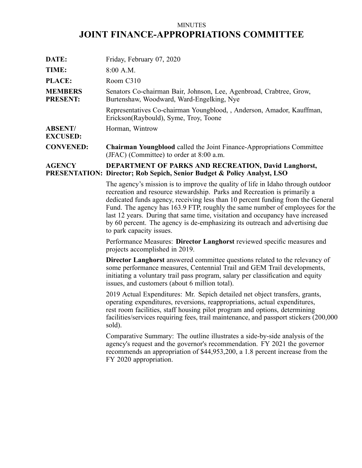# MINUTES **JOINT FINANCE-APPROPRIATIONS COMMITTEE**

| DATE:                             | Friday, February 07, 2020                                                                                                  |
|-----------------------------------|----------------------------------------------------------------------------------------------------------------------------|
| TIME:                             | $8:00$ A.M.                                                                                                                |
| <b>PLACE:</b>                     | Room C310                                                                                                                  |
| <b>MEMBERS</b><br><b>PRESENT:</b> | Senators Co-chairman Bair, Johnson, Lee, Agenbroad, Crabtree, Grow,<br>Burtenshaw, Woodward, Ward-Engelking, Nye           |
|                                   | Representatives Co-chairman Youngblood, , Anderson, Amador, Kauffman,<br>Erickson(Raybould), Syme, Troy, Toone             |
| <b>ABSENT/</b><br><b>EXCUSED:</b> | Horman, Wintrow                                                                                                            |
| <b>CONVENED:</b>                  | <b>Chairman Youngblood</b> called the Joint Finance-Appropriations Committee<br>(JFAC) (Committee) to order at $8:00$ a.m. |

## **AGENCY PRESENTATION: Director; Rob Sepich, Senior Budget & Policy Analyst, LSO DEPARTMENT OF PARKS AND RECREATION, David Langhorst,**

The agency's mission is to improve the quality of life in Idaho through outdoor recreation and resource stewardship. Parks and Recreation is primarily <sup>a</sup> dedicated funds agency, receiving less than 10 percen<sup>t</sup> funding from the General Fund. The agency has 163.9 FTP, roughly the same number of employees for the last 12 years. During that same time, visitation and occupancy have increased by 60 percent. The agency is de-emphasizing its outreach and advertising due to park capacity issues.

Performance Measures: **Director Langhorst** reviewed specific measures and projects accomplished in 2019.

**Director Langhorst** answered committee questions related to the relevancy of some performance measures, Centennial Trail and GEM Trail developments, initiating <sup>a</sup> voluntary trail pass program, salary per classification and equity issues, and customers (about 6 million total).

2019 Actual Expenditures: Mr. Sepich detailed net object transfers, grants, operating expenditures, reversions, reappropriations, actual expenditures, rest room facilities, staff housing pilot program and options, determining facilities/services requiring fees, trail maintenance, and passpor<sup>t</sup> stickers (200,000 sold).

Comparative Summary: The outline illustrates <sup>a</sup> side-by-side analysis of the agency's reques<sup>t</sup> and the governor's recommendation. FY 2021 the governor recommends an appropriation of \$44,953,200, <sup>a</sup> 1.8 percen<sup>t</sup> increase from the FY 2020 appropriation.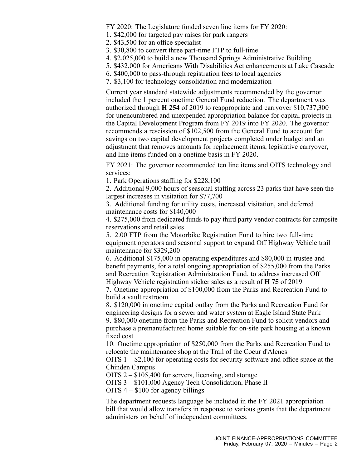FY 2020: The Legislature funded seven line items for FY 2020:

- 1. \$42,000 for targeted pay raises for park rangers
- 2. \$43,500 for an office specialist
- 3. \$30,800 to convert three part-time FTP to full-time
- 4. \$2,025,000 to build <sup>a</sup> new Thousand Springs Administrative Building
- 5. \$432,000 for Americans With Disabilities Act enhancements at Lake Cascade
- 6. \$400,000 to pass-through registration fees to local agencies
- 7. \$3,100 for technology consolidation and modernization

Current year standard statewide adjustments recommended by the governor included the 1 percen<sup>t</sup> onetime General Fund reduction. The department was authorized through **H 254** of 2019 to reappropriate and carryover \$10,737,300 for unencumbered and unexpended appropriation balance for capital projects in the Capital Development Program from FY 2019 into FY 2020. The governor recommends <sup>a</sup> rescission of \$102,500 from the General Fund to account for savings on two capital development projects completed under budget and an adjustment that removes amounts for replacement items, legislative carryover, and line items funded on <sup>a</sup> onetime basis in FY 2020.

FY 2021: The governor recommended ten line items and OITS technology and services:

1. Park Operations staffing for \$228,100

2. Additional 9,000 hours of seasonal staffing across 23 parks that have seen the largest increases in visitation for \$77,700

3. Additional funding for utility costs, increased visitation, and deferred maintenance costs for \$140,000

4. \$275,000 from dedicated funds to pay third party vendor contracts for campsite reservations and retail sales

5. 2.00 FTP from the Motorbike Registration Fund to hire two full-time equipment operators and seasonal suppor<sup>t</sup> to expand Off Highway Vehicle trail maintenance for \$329,200

6. Additional \$175,000 in operating expenditures and \$80,000 in trustee and benefit payments, for <sup>a</sup> total ongoing appropriation of \$255,000 from the Parks and Recreation Registration Administration Fund, to address increased Off Highway Vehicle registration sticker sales as <sup>a</sup> result of **H 75** of 2019

7. Onetime appropriation of \$100,000 from the Parks and Recreation Fund to build <sup>a</sup> vault restroom

8. \$120,000 in onetime capital outlay from the Parks and Recreation Fund for engineering designs for <sup>a</sup> sewer and water system at Eagle Island State Park 9. \$80,000 onetime from the Parks and Recreation Fund to solicit vendors and purchase <sup>a</sup> premanufactured home suitable for on-site park housing at <sup>a</sup> known fixed cost

10. Onetime appropriation of \$250,000 from the Parks and Recreation Fund to relocate the maintenance shop at the Trail of the Coeur d'Alenes

OITS 1 – \$2,100 for operating costs for security software and office space at the Chinden Campus

OITS 2 – \$105,400 for servers, licensing, and storage

OITS 3 – \$101,000 Agency Tech Consolidation, Phase II

OITS 4 – \$100 for agency billings

The department requests language be included in the FY 2021 appropriation bill that would allow transfers in response to various grants that the department administers on behalf of independent committees.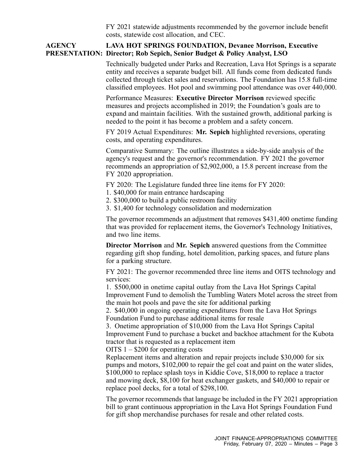FY 2021 statewide adjustments recommended by the governor include benefit costs, statewide cost allocation, and CEC.

#### **AGENCY PRESENTATION: Director; Rob Sepich, Senior Budget & Policy Analyst, LSO LAVA HOT SPRINGS FOUNDATION, Devanee Morrison, Executive**

Technically budgeted under Parks and Recreation, Lava Hot Springs is <sup>a</sup> separate entity and receives <sup>a</sup> separate budget bill. All funds come from dedicated funds collected through ticket sales and reservations. The Foundation has 15.8 full-time classified employees. Hot pool and swimming pool attendance was over 440,000.

Performance Measures: **Executive Director Morrison** reviewed specific measures and projects accomplished in 2019; the Foundation's goals are to expand and maintain facilities. With the sustained growth, additional parking is needed to the point it has become <sup>a</sup> problem and <sup>a</sup> safety concern.

FY 2019 Actual Expenditures: **Mr. Sepich** highlighted reversions, operating costs, and operating expenditures.

Comparative Summary: The outline illustrates <sup>a</sup> side-by-side analysis of the agency's reques<sup>t</sup> and the governor's recommendation. FY 2021 the governor recommends an appropriation of \$2,902,000, <sup>a</sup> 15.8 percen<sup>t</sup> increase from the FY 2020 appropriation.

FY 2020: The Legislature funded three line items for FY 2020:

- 1. \$40,000 for main entrance hardscaping
- 2. \$300,000 to build <sup>a</sup> public restroom facility
- 3. \$1,400 for technology consolidation and modernization

The governor recommends an adjustment that removes \$431,400 onetime funding that was provided for replacement items, the Governor's Technology Initiatives, and two line items.

**Director Morrison** and **Mr. Sepich** answered questions from the Committee regarding gift shop funding, hotel demolition, parking spaces, and future plans for <sup>a</sup> parking structure.

FY 2021: The governor recommended three line items and OITS technology and services:

1. \$500,000 in onetime capital outlay from the Lava Hot Springs Capital Improvement Fund to demolish the Tumbling Waters Motel across the street from the main hot pools and pave the site for additional parking

2. \$40,000 in ongoing operating expenditures from the Lava Hot Springs Foundation Fund to purchase additional items for resale

3. Onetime appropriation of \$10,000 from the Lava Hot Springs Capital Improvement Fund to purchase <sup>a</sup> bucket and backhoe attachment for the Kubota tractor that is requested as <sup>a</sup> replacement item

OITS 1 – \$200 for operating costs

Replacement items and alteration and repair projects include \$30,000 for six pumps and motors, \$102,000 to repair the gel coat and paint on the water slides, \$100,000 to replace splash toys in Kiddie Cove, \$18,000 to replace <sup>a</sup> tractor and mowing deck, \$8,100 for heat exchanger gaskets, and \$40,000 to repair or replace pool decks, for <sup>a</sup> total of \$298,100.

The governor recommends that language be included in the FY 2021 appropriation bill to gran<sup>t</sup> continuous appropriation in the Lava Hot Springs Foundation Fund for gift shop merchandise purchases for resale and other related costs.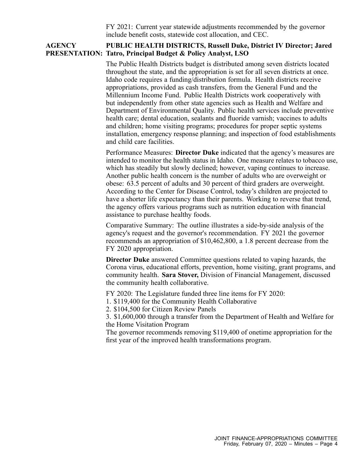FY 2021: Current year statewide adjustments recommended by the governor include benefit costs, statewide cost allocation, and CEC.

### **AGENCY PRESENTATION: Tatro, Principal Budget & Policy Analyst, LSO PUBLIC HEALTH DISTRICTS, Russell Duke, District IV Director; Jared**

The Public Health Districts budget is distributed among seven districts located throughout the state, and the appropriation is set for all seven districts at once. Idaho code requires <sup>a</sup> funding/distribution formula. Health districts receive appropriations, provided as cash transfers, from the General Fund and the Millennium Income Fund. Public Health Districts work cooperatively with but independently from other state agencies such as Health and Welfare and Department of Environmental Quality. Public health services include preventive health care; dental education, sealants and fluoride varnish; vaccines to adults and children; home visiting programs; procedures for proper septic systems installation, emergency response planning; and inspection of food establishments and child care facilities.

Performance Measures: **Director Duke** indicated that the agency's measures are intended to monitor the health status in Idaho. One measure relates to tobacco use, which has steadily but slowly declined; however, vaping continues to increase. Another public health concern is the number of adults who are overweight or obese: 63.5 percen<sup>t</sup> of adults and 30 percen<sup>t</sup> of third graders are overweight. According to the Center for Disease Control, today's children are projected to have <sup>a</sup> shorter life expectancy than their parents. Working to reverse that trend, the agency offers various programs such as nutrition education with financial assistance to purchase healthy foods.

Comparative Summary: The outline illustrates <sup>a</sup> side-by-side analysis of the agency's reques<sup>t</sup> and the governor's recommendation. FY 2021 the governor recommends an appropriation of \$10,462,800, <sup>a</sup> 1.8 percen<sup>t</sup> decrease from the FY 2020 appropriation.

**Director Duke** answered Committee questions related to vaping hazards, the Corona virus, educational efforts, prevention, home visiting, gran<sup>t</sup> programs, and community health. **Sara Stover,** Division of Financial Management, discussed the community health collaborative.

FY 2020: The Legislature funded three line items for FY 2020:

1. \$119,400 for the Community Health Collaborative

2. \$104,500 for Citizen Review Panels

3. \$1,600,000 through <sup>a</sup> transfer from the Department of Health and Welfare for the Home Visitation Program

The governor recommends removing \$119,400 of onetime appropriation for the first year of the improved health transformations program.